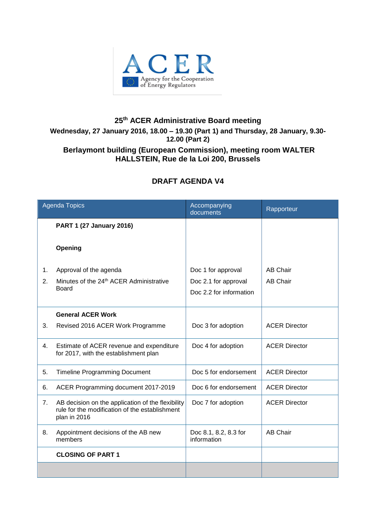

## **25 th ACER Administrative Board meeting Wednesday, 27 January 2016, 18.00 – 19.30 (Part 1) and Thursday, 28 January, 9.30- 12.00 (Part 2) Berlaymont building (European Commission), meeting room WALTER HALLSTEIN, Rue de la Loi 200, Brussels**

## **DRAFT AGENDA V4**

| <b>Agenda Topics</b> |                                                                                                                     | Accompanying<br>documents            | Rapporteur           |
|----------------------|---------------------------------------------------------------------------------------------------------------------|--------------------------------------|----------------------|
|                      | <b>PART 1 (27 January 2016)</b>                                                                                     |                                      |                      |
|                      | Opening                                                                                                             |                                      |                      |
| 1.                   | Approval of the agenda                                                                                              | Doc 1 for approval                   | <b>AB Chair</b>      |
| 2.                   | Minutes of the 24 <sup>th</sup> ACER Administrative                                                                 | Doc 2.1 for approval                 | <b>AB Chair</b>      |
|                      | <b>Board</b>                                                                                                        | Doc 2.2 for information              |                      |
|                      | <b>General ACER Work</b>                                                                                            |                                      |                      |
| 3.                   | Revised 2016 ACER Work Programme                                                                                    | Doc 3 for adoption                   | <b>ACER Director</b> |
| 4.                   | Estimate of ACER revenue and expenditure<br>for 2017, with the establishment plan                                   | Doc 4 for adoption                   | <b>ACER Director</b> |
| 5.                   | <b>Timeline Programming Document</b>                                                                                | Doc 5 for endorsement                | <b>ACER Director</b> |
| 6.                   | ACER Programming document 2017-2019                                                                                 | Doc 6 for endorsement                | <b>ACER Director</b> |
| 7.                   | AB decision on the application of the flexibility<br>rule for the modification of the establishment<br>plan in 2016 | Doc 7 for adoption                   | <b>ACER Director</b> |
| 8.                   | Appointment decisions of the AB new<br>members                                                                      | Doc 8.1, 8.2, 8.3 for<br>information | <b>AB Chair</b>      |
|                      | <b>CLOSING OF PART 1</b>                                                                                            |                                      |                      |
|                      |                                                                                                                     |                                      |                      |